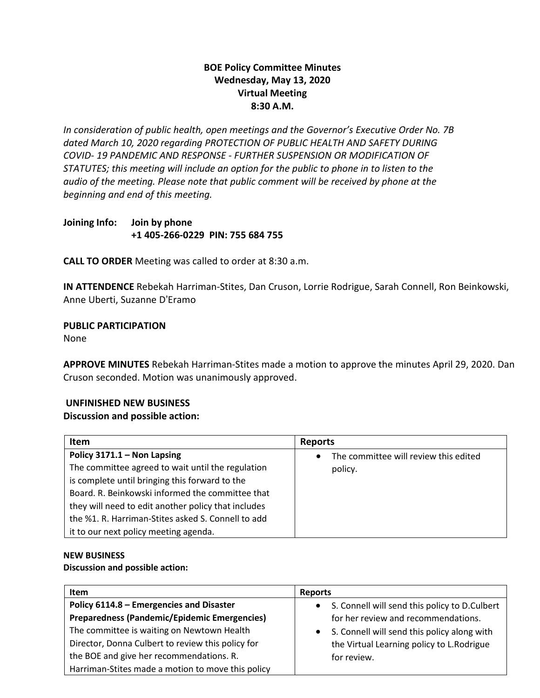# **BOE Policy Committee Minutes Wednesday, May 13, 2020 Virtual Meeting 8:30 A.M.**

*In consideration of public health, open meetings and the Governor's Executive Order No. 7B dated March 10, 2020 regarding PROTECTION OF PUBLIC HEALTH AND SAFETY DURING COVID- 19 PANDEMIC AND RESPONSE - FURTHER SUSPENSION OR MODIFICATION OF STATUTES; this meeting will include an option for the public to phone in to listen to the audio of the meeting. Please note that public comment will be received by phone at the beginning and end of this meeting.*

**Joining Info: Join by phone +1 405-266-0229 PIN: 755 684 755**

**CALL TO ORDER** Meeting was called to order at 8:30 a.m.

**IN ATTENDENCE** Rebekah Harriman-Stites, Dan Cruson, Lorrie Rodrigue, Sarah Connell, Ron Beinkowski, Anne Uberti, Suzanne D'Eramo

**PUBLIC PARTICIPATION** 

None

**APPROVE MINUTES** Rebekah Harriman-Stites made a motion to approve the minutes April 29, 2020. Dan Cruson seconded. Motion was unanimously approved.

## **UNFINISHED NEW BUSINESS**

## **Discussion and possible action:**

| <b>Item</b>                                                                                                                                                                                                                                                                                                                                  | <b>Reports</b>                                   |
|----------------------------------------------------------------------------------------------------------------------------------------------------------------------------------------------------------------------------------------------------------------------------------------------------------------------------------------------|--------------------------------------------------|
| Policy 3171.1 - Non Lapsing<br>The committee agreed to wait until the regulation<br>is complete until bringing this forward to the<br>Board. R. Beinkowski informed the committee that<br>they will need to edit another policy that includes<br>the %1. R. Harriman-Stites asked S. Connell to add<br>it to our next policy meeting agenda. | The committee will review this edited<br>policy. |

## **NEW BUSINESS**

#### **Discussion and possible action:**

| <b>Item</b>                                         | <b>Reports</b>                                  |
|-----------------------------------------------------|-------------------------------------------------|
| Policy 6114.8 - Emergencies and Disaster            | • S. Connell will send this policy to D.Culbert |
| <b>Preparedness (Pandemic/Epidemic Emergencies)</b> | for her review and recommendations.             |
| The committee is waiting on Newtown Health          | • S. Connell will send this policy along with   |
| Director, Donna Culbert to review this policy for   | the Virtual Learning policy to L.Rodrigue       |
| the BOE and give her recommendations. R.            | for review.                                     |
| Harriman-Stites made a motion to move this policy   |                                                 |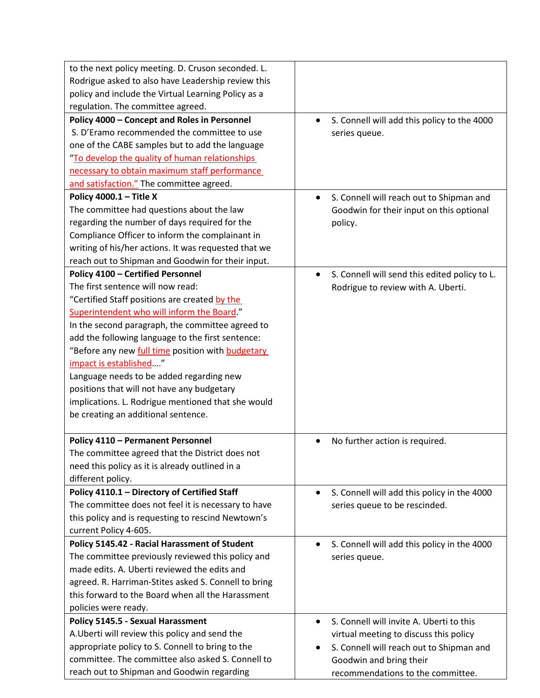| to the next policy meeting. D. Cruson seconded. L.              |                                                            |
|-----------------------------------------------------------------|------------------------------------------------------------|
| Rodrigue asked to also have Leadership review this              |                                                            |
| policy and include the Virtual Learning Policy as a             |                                                            |
| regulation. The committee agreed.                               |                                                            |
| Policy 4000 - Concept and Roles in Personnel                    | S. Connell will add this policy to the 4000<br>$\bullet$   |
| S. D'Eramo recommended the committee to use                     | series queue.                                              |
| one of the CABE samples but to add the language                 |                                                            |
| "To develop the quality of human relationships                  |                                                            |
| necessary to obtain maximum staff performance                   |                                                            |
| and satisfaction." The committee agreed.                        |                                                            |
| Policy 4000.1 - Title X                                         | S. Connell will reach out to Shipman and<br>$\bullet$      |
| The committee had questions about the law                       | Goodwin for their input on this optional                   |
| regarding the number of days required for the                   | policy.                                                    |
| Compliance Officer to inform the complainant in                 |                                                            |
| writing of his/her actions. It was requested that we            |                                                            |
| reach out to Shipman and Goodwin for their input.               |                                                            |
| <b>Policy 4100 - Certified Personnel</b>                        | S. Connell will send this edited policy to L.<br>$\bullet$ |
| The first sentence will now read:                               | Rodrigue to review with A. Uberti.                         |
| "Certified Staff positions are created by the                   |                                                            |
| Superintendent who will inform the Board."                      |                                                            |
| In the second paragraph, the committee agreed to                |                                                            |
| add the following language to the first sentence:               |                                                            |
| "Before any new <b>full time</b> position with <b>budgetary</b> |                                                            |
| impact is established"                                          |                                                            |
| Language needs to be added regarding new                        |                                                            |
| positions that will not have any budgetary                      |                                                            |
| implications. L. Rodrigue mentioned that she would              |                                                            |
| be creating an additional sentence.                             |                                                            |
|                                                                 |                                                            |
| <b>Policy 4110 - Permanent Personnel</b>                        | No further action is required.                             |
| The committee agreed that the District does not                 |                                                            |
| need this policy as it is already outlined in a                 |                                                            |
| different policy.                                               |                                                            |
| Policy 4110.1 - Directory of Certified Staff                    | S. Connell will add this policy in the 4000<br>$\bullet$   |
| The committee does not feel it is necessary to have             | series queue to be rescinded.                              |
| this policy and is requesting to rescind Newtown's              |                                                            |
| current Policy 4-605.                                           |                                                            |
| Policy 5145.42 - Racial Harassment of Student                   | S. Connell will add this policy in the 4000<br>$\bullet$   |
| The committee previously reviewed this policy and               | series queue.                                              |
| made edits. A. Uberti reviewed the edits and                    |                                                            |
| agreed. R. Harriman-Stites asked S. Connell to bring            |                                                            |
| this forward to the Board when all the Harassment               |                                                            |
| policies were ready.                                            |                                                            |
| Policy 5145.5 - Sexual Harassment                               | S. Connell will invite A. Uberti to this<br>$\bullet$      |
| A. Uberti will review this policy and send the                  | virtual meeting to discuss this policy                     |
| appropriate policy to S. Connell to bring to the                | S. Connell will reach out to Shipman and                   |
| committee. The committee also asked S. Connell to               | Goodwin and bring their                                    |
| reach out to Shipman and Goodwin regarding                      | recommendations to the committee.                          |